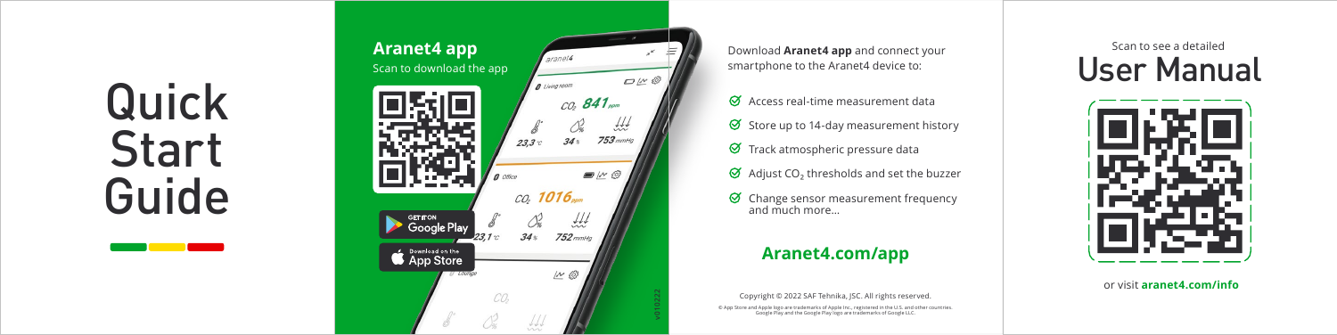Quick Start Guide



smartphone to the Aranet4 device to:

 $\Theta$  Access real-time measurement data

- $\Theta$  Store up to 14-day measurement history
- $\Theta$  Track atmospheric pressure data
- Adjust  $\mathsf{CO}_{2}$  thresholds and set the buzzer
- $\Theta$  Change sensor measurement frequency and much more…

# **[Aranet4.com/app](https://aranet4.com/app)**

#### Copyright © 2022 SAF Tehnika, JSC. All rights reserved.

© App Store and Apple logo are trademarks of Apple Inc., registered in the U.S. and other countries. Google Play and the Google Play logo are trademarks of Google LLC.

User Manual



or visit **[aranet4.com/info](https://aranet4.com/info)**